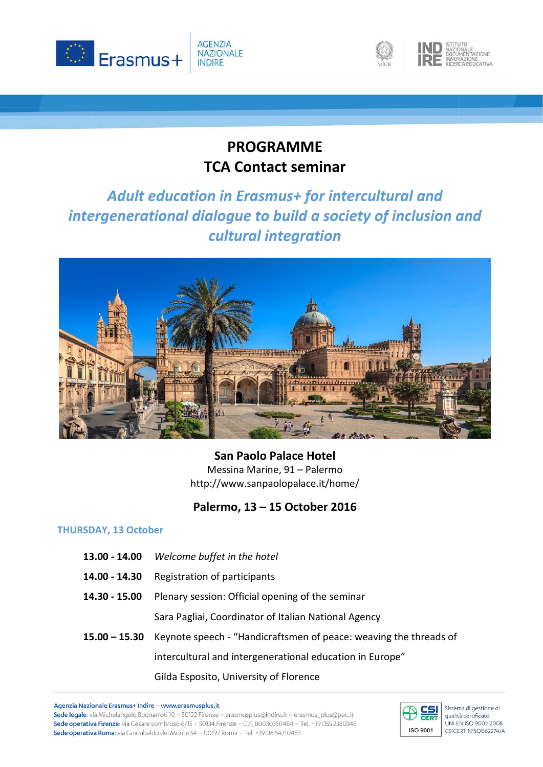





## **PROGRAMME TCA Contact seminar**

# *Adult education in Erasmus+ for intercultural and intergenerational dialogue to build a society of inclusion and cultural integration*



**San Paolo Palace Hotel** Messina Marine, 91 – Palermo http://www.sanpaolopalace.it/home/

## **Palermo, 13 – 15 October 2016**

### **THURSDAY, 13 October**

- **13.00 - 14.00** *Welcome buffet in the hotel*
- **14.00 - 14.30** Registration of participants
- **14.30 - 15.00** Plenary session: Official opening of the seminar Sara Pagliai, Coordinator of Italian National Agency
- **15.00 – 15.30** Keynote speech "Handicraftsmen of peace: weaving the threads of intercultural and intergenerational education in Europe" Gilda Esposito, University of Florence

Agenzia Nazionale Erasmus+ Indire - www.erasmusplus.it Sede legale: via Michelangelo Buonarroti 10 - 50122 Firenze - erasmusplus@indire.it - erasmus\_plus@pec.it Sede operativa Firenze: via Cesare Lombroso 6/15 - 50134 Firenze - C.F. 80030350484 - Tel. +39 055 2380348 Sede operativa Roma: via Guidubaldo del Monte 54 - 00197 Roma - Tel. +39 06 54210483



Sistema di gestione di qualità certificato UNI EN ISO 9001: 2008 CSICERT N°SQ062274/A